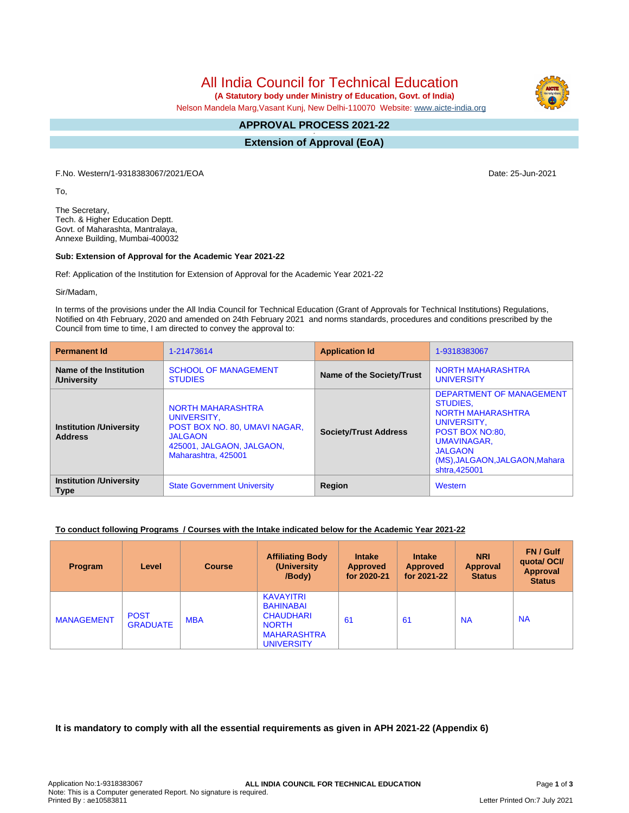All India Council for Technical Education

 **(A Statutory body under Ministry of Education, Govt. of India)**

Nelson Mandela Marg,Vasant Kunj, New Delhi-110070 Website: [www.aicte-india.org](http://www.aicte-india.org)

#### **APPROVAL PROCESS 2021-22 -**

**Extension of Approval (EoA)**

F.No. Western/1-9318383067/2021/EOA Date: 25-Jun-2021

To,

The Secretary, Tech. & Higher Education Deptt. Govt. of Maharashta, Mantralaya, Annexe Building, Mumbai-400032

#### **Sub: Extension of Approval for the Academic Year 2021-22**

Ref: Application of the Institution for Extension of Approval for the Academic Year 2021-22

Sir/Madam,

In terms of the provisions under the All India Council for Technical Education (Grant of Approvals for Technical Institutions) Regulations, Notified on 4th February, 2020 and amended on 24th February 2021 and norms standards, procedures and conditions prescribed by the Council from time to time, I am directed to convey the approval to:

| <b>Permanent Id</b>                               | 1-21473614                                                                                                                                     | <b>Application Id</b>            | 1-9318383067                                                                                                                                                                                 |  |
|---------------------------------------------------|------------------------------------------------------------------------------------------------------------------------------------------------|----------------------------------|----------------------------------------------------------------------------------------------------------------------------------------------------------------------------------------------|--|
| Name of the Institution<br>/University            | <b>SCHOOL OF MANAGEMENT</b><br><b>STUDIES</b>                                                                                                  | <b>Name of the Society/Trust</b> | <b>NORTH MAHARASHTRA</b><br><b>UNIVERSITY</b>                                                                                                                                                |  |
| <b>Institution / University</b><br><b>Address</b> | <b>NORTH MAHARASHTRA</b><br>UNIVERSITY.<br>POST BOX NO. 80, UMAVI NAGAR,<br><b>JALGAON</b><br>425001, JALGAON, JALGAON,<br>Maharashtra, 425001 | <b>Society/Trust Address</b>     | DEPARTMENT OF MANAGEMENT<br>STUDIES.<br><b>NORTH MAHARASHTRA</b><br>UNIVERSITY.<br>POST BOX NO:80.<br><b>UMAVINAGAR,</b><br><b>JALGAON</b><br>(MS), JALGAON, JALGAON, Mahara<br>shtra.425001 |  |
| <b>Institution /University</b><br><b>Type</b>     | <b>State Government University</b>                                                                                                             | Region                           | Western                                                                                                                                                                                      |  |

## **To conduct following Programs / Courses with the Intake indicated below for the Academic Year 2021-22**

| <b>Program</b>    | Level                          | <b>Course</b> | <b>Affiliating Body</b><br>(University)<br>/Body)                                                                   | <b>Intake</b><br><b>Approved</b><br>for 2020-21 | <b>Intake</b><br><b>Approved</b><br>for 2021-22 | <b>NRI</b><br><b>Approval</b><br><b>Status</b> | FN / Gulf<br>quotal OCI/<br>Approval<br><b>Status</b> |
|-------------------|--------------------------------|---------------|---------------------------------------------------------------------------------------------------------------------|-------------------------------------------------|-------------------------------------------------|------------------------------------------------|-------------------------------------------------------|
| <b>MANAGEMENT</b> | <b>POST</b><br><b>GRADUATE</b> | <b>MBA</b>    | <b>KAVAYITRI</b><br><b>BAHINABAI</b><br><b>CHAUDHARI</b><br><b>NORTH</b><br><b>MAHARASHTRA</b><br><b>UNIVERSITY</b> | 61                                              | 61                                              | <b>NA</b>                                      | <b>NA</b>                                             |

**It is mandatory to comply with all the essential requirements as given in APH 2021-22 (Appendix 6)**

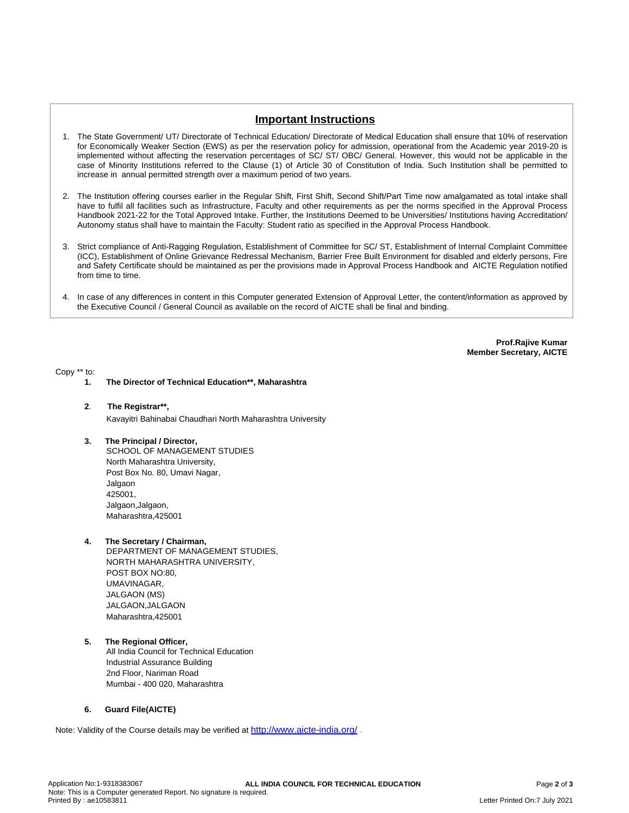# **Important Instructions**

- 1. The State Government/ UT/ Directorate of Technical Education/ Directorate of Medical Education shall ensure that 10% of reservation for Economically Weaker Section (EWS) as per the reservation policy for admission, operational from the Academic year 2019-20 is implemented without affecting the reservation percentages of SC/ ST/ OBC/ General. However, this would not be applicable in the case of Minority Institutions referred to the Clause (1) of Article 30 of Constitution of India. Such Institution shall be permitted to increase in annual permitted strength over a maximum period of two years.
- 2. The Institution offering courses earlier in the Regular Shift, First Shift, Second Shift/Part Time now amalgamated as total intake shall have to fulfil all facilities such as Infrastructure, Faculty and other requirements as per the norms specified in the Approval Process Handbook 2021-22 for the Total Approved Intake. Further, the Institutions Deemed to be Universities/ Institutions having Accreditation/ Autonomy status shall have to maintain the Faculty: Student ratio as specified in the Approval Process Handbook.
- 3. Strict compliance of Anti-Ragging Regulation, Establishment of Committee for SC/ ST, Establishment of Internal Complaint Committee (ICC), Establishment of Online Grievance Redressal Mechanism, Barrier Free Built Environment for disabled and elderly persons, Fire and Safety Certificate should be maintained as per the provisions made in Approval Process Handbook and AICTE Regulation notified from time to time.
- 4. In case of any differences in content in this Computer generated Extension of Approval Letter, the content/information as approved by the Executive Council / General Council as available on the record of AICTE shall be final and binding.

**Prof.Rajive Kumar Member Secretary, AICTE**

Copy \*\* to:

- **1. The Director of Technical Education\*\*, Maharashtra**
- **2**. **The Registrar\*\*,** Kavayitri Bahinabai Chaudhari North Maharashtra University
- **3. The Principal / Director,** SCHOOL OF MANAGEMENT STUDIES North Maharashtra University, Post Box No. 80, Umavi Nagar, Jalgaon 425001, Jalgaon,Jalgaon, Maharashtra,425001
- **4. The Secretary / Chairman,**
	- DEPARTMENT OF MANAGEMENT STUDIES, NORTH MAHARASHTRA UNIVERSITY, POST BOX NO:80, UMAVINAGAR, JALGAON (MS) JALGAON,JALGAON Maharashtra,425001
- **5. The Regional Officer,** All India Council for Technical Education Industrial Assurance Building 2nd Floor, Nariman Road Mumbai - 400 020, Maharashtra

## **6. Guard File(AICTE)**

Note: Validity of the Course details may be verified at <http://www.aicte-india.org/> **.**